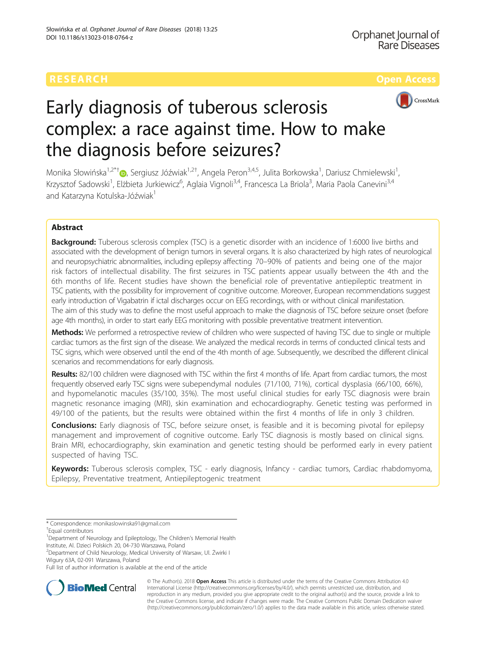

# Early diagnosis of tuberous sclerosis complex: a race against time. How to make the diagnosis before seizures?

Monika Słowińska<sup>1,2\*[†](http://orcid.org/0000-0002-5205-3425)</sup>�, Sergiusz Jóźwiak<sup>1,2†</sup>, Angela Peron<sup>3,4,5</sup>, Julita Borkowska<sup>1</sup>, Dariusz Chmielewski<sup>1</sup> , Krzysztof Sadowski<sup>1</sup>, Elżbieta Jurkiewicz<sup>6</sup>, Aglaia Vignoli<sup>3,4</sup>, Francesca La Briola<sup>3</sup>, Maria Paola Canevini<sup>3,4</sup> and Katarzyna Kotulska-Jóźwiak<sup>1</sup>

# Abstract

**Background:** Tuberous sclerosis complex (TSC) is a genetic disorder with an incidence of 1:6000 live births and associated with the development of benign tumors in several organs. It is also characterized by high rates of neurological and neuropsychiatric abnormalities, including epilepsy affecting 70–90% of patients and being one of the major risk factors of intellectual disability. The first seizures in TSC patients appear usually between the 4th and the 6th months of life. Recent studies have shown the beneficial role of preventative antiepileptic treatment in TSC patients, with the possibility for improvement of cognitive outcome. Moreover, European recommendations suggest early introduction of Vigabatrin if ictal discharges occur on EEG recordings, with or without clinical manifestation. The aim of this study was to define the most useful approach to make the diagnosis of TSC before seizure onset (before age 4th months), in order to start early EEG monitoring with possible preventative treatment intervention.

Methods: We performed a retrospective review of children who were suspected of having TSC due to single or multiple cardiac tumors as the first sign of the disease. We analyzed the medical records in terms of conducted clinical tests and TSC signs, which were observed until the end of the 4th month of age. Subsequently, we described the different clinical scenarios and recommendations for early diagnosis.

Results: 82/100 children were diagnosed with TSC within the first 4 months of life. Apart from cardiac tumors, the most frequently observed early TSC signs were subependymal nodules (71/100, 71%), cortical dysplasia (66/100, 66%), and hypomelanotic macules (35/100, 35%). The most useful clinical studies for early TSC diagnosis were brain magnetic resonance imaging (MRI), skin examination and echocardiography. Genetic testing was performed in 49/100 of the patients, but the results were obtained within the first 4 months of life in only 3 children.

**Conclusions:** Early diagnosis of TSC, before seizure onset, is feasible and it is becoming pivotal for epilepsy management and improvement of cognitive outcome. Early TSC diagnosis is mostly based on clinical signs. Brain MRI, echocardiography, skin examination and genetic testing should be performed early in every patient suspected of having TSC.

Keywords: Tuberous sclerosis complex, TSC - early diagnosis, Infancy - cardiac tumors, Cardiac rhabdomyoma, Epilepsy, Preventative treatment, Antiepileptogenic treatment

<sup>1</sup>Department of Neurology and Epileptology, The Children's Memorial Health Institute, Al. Dzieci Polskich 20, 04-730 Warszawa, Poland

<sup>2</sup>Department of Child Neurology, Medical University of Warsaw, Ul. Żwirki I Wigury 63A, 02-091 Warszawa, Poland

Full list of author information is available at the end of the article



© The Author(s). 2018 Open Access This article is distributed under the terms of the Creative Commons Attribution 4.0 International License [\(http://creativecommons.org/licenses/by/4.0/](http://creativecommons.org/licenses/by/4.0/)), which permits unrestricted use, distribution, and reproduction in any medium, provided you give appropriate credit to the original author(s) and the source, provide a link to the Creative Commons license, and indicate if changes were made. The Creative Commons Public Domain Dedication waiver [\(http://creativecommons.org/publicdomain/zero/1.0/](http://creativecommons.org/publicdomain/zero/1.0/)) applies to the data made available in this article, unless otherwise stated.

<sup>\*</sup> Correspondence: [monikaslowinska91@gmail.com](mailto:monikaslowinska91@gmail.com) †

Equal contributors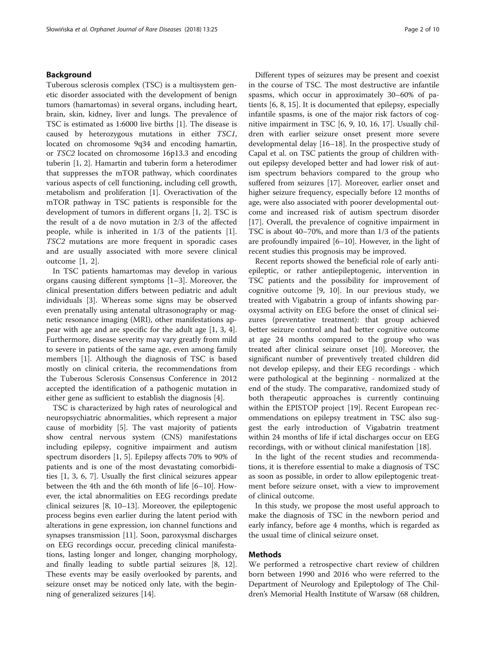# Background

Tuberous sclerosis complex (TSC) is a multisystem genetic disorder associated with the development of benign tumors (hamartomas) in several organs, including heart, brain, skin, kidney, liver and lungs. The prevalence of TSC is estimated as 1:6000 live births [\[1](#page-8-0)]. The disease is caused by heterozygous mutations in either TSC1, located on chromosome 9q34 and encoding hamartin, or TSC2 located on chromosome 16p13.3 and encoding tuberin [[1, 2\]](#page-8-0). Hamartin and tuberin form a heterodimer that suppresses the mTOR pathway, which coordinates various aspects of cell functioning, including cell growth, metabolism and proliferation [\[1](#page-8-0)]. Overactivation of the mTOR pathway in TSC patients is responsible for the development of tumors in different organs [[1, 2](#page-8-0)]. TSC is the result of a de novo mutation in 2/3 of the affected people, while is inherited in 1/3 of the patients [\[1](#page-8-0)]. TSC2 mutations are more frequent in sporadic cases and are usually associated with more severe clinical outcome [\[1](#page-8-0), [2](#page-8-0)].

In TSC patients hamartomas may develop in various organs causing different symptoms [\[1](#page-8-0)–[3\]](#page-8-0). Moreover, the clinical presentation differs between pediatric and adult individuals [\[3\]](#page-8-0). Whereas some signs may be observed even prenatally using antenatal ultrasonography or magnetic resonance imaging (MRI), other manifestations appear with age and are specific for the adult age [\[1](#page-8-0), [3, 4](#page-8-0)]. Furthermore, disease severity may vary greatly from mild to severe in patients of the same age, even among family members [\[1](#page-8-0)]. Although the diagnosis of TSC is based mostly on clinical criteria, the recommendations from the Tuberous Sclerosis Consensus Conference in 2012 accepted the identification of a pathogenic mutation in either gene as sufficient to establish the diagnosis [\[4](#page-8-0)].

TSC is characterized by high rates of neurological and neuropsychiatric abnormalities, which represent a major cause of morbidity [[5](#page-8-0)]. The vast majority of patients show central nervous system (CNS) manifestations including epilepsy, cognitive impairment and autism spectrum disorders [[1, 5\]](#page-8-0). Epilepsy affects 70% to 90% of patients and is one of the most devastating comorbidities [[1](#page-8-0), [3](#page-8-0), [6](#page-8-0), [7](#page-8-0)]. Usually the first clinical seizures appear between the 4th and the 6th month of life [\[6](#page-8-0)–[10\]](#page-8-0). However, the ictal abnormalities on EEG recordings predate clinical seizures [[8, 10](#page-8-0)–[13](#page-9-0)]. Moreover, the epileptogenic process begins even earlier during the latent period with alterations in gene expression, ion channel functions and synapses transmission [[11\]](#page-9-0). Soon, paroxysmal discharges on EEG recordings occur, preceding clinical manifestations, lasting longer and longer, changing morphology, and finally leading to subtle partial seizures [\[8](#page-8-0), [12](#page-9-0)]. These events may be easily overlooked by parents, and seizure onset may be noticed only late, with the beginning of generalized seizures [[14\]](#page-9-0).

Different types of seizures may be present and coexist in the course of TSC. The most destructive are infantile spasms, which occur in approximately 30–60% of patients [\[6](#page-8-0), [8](#page-8-0), [15\]](#page-9-0). It is documented that epilepsy, especially infantile spasms, is one of the major risk factors of cognitive impairment in TSC [\[6](#page-8-0), [9, 10,](#page-8-0) [16](#page-9-0), [17](#page-9-0)]. Usually children with earlier seizure onset present more severe developmental delay [[16](#page-9-0)–[18](#page-9-0)]. In the prospective study of Capal et al. on TSC patients the group of children without epilepsy developed better and had lower risk of autism spectrum behaviors compared to the group who suffered from seizures [\[17\]](#page-9-0). Moreover, earlier onset and higher seizure frequency, especially before 12 months of age, were also associated with poorer developmental outcome and increased risk of autism spectrum disorder [[17\]](#page-9-0). Overall, the prevalence of cognitive impairment in TSC is about 40–70%, and more than 1/3 of the patients are profoundly impaired [\[6](#page-8-0)–[10\]](#page-8-0). However, in the light of recent studies this prognosis may be improved.

Recent reports showed the beneficial role of early antiepileptic, or rather antiepileptogenic, intervention in TSC patients and the possibility for improvement of cognitive outcome [\[9](#page-8-0), [10](#page-8-0)]. In our previous study, we treated with Vigabatrin a group of infants showing paroxysmal activity on EEG before the onset of clinical seizures (preventative treatment): that group achieved better seizure control and had better cognitive outcome at age 24 months compared to the group who was treated after clinical seizure onset [\[10\]](#page-8-0). Moreover, the significant number of preventively treated children did not develop epilepsy, and their EEG recordings - which were pathological at the beginning - normalized at the end of the study. The comparative, randomized study of both therapeutic approaches is currently continuing within the EPISTOP project [\[19](#page-9-0)]. Recent European recommendations on epilepsy treatment in TSC also suggest the early introduction of Vigabatrin treatment within 24 months of life if ictal discharges occur on EEG recordings, with or without clinical manifestation [\[18](#page-9-0)].

In the light of the recent studies and recommendations, it is therefore essential to make a diagnosis of TSC as soon as possible, in order to allow epileptogenic treatment before seizure onset, with a view to improvement of clinical outcome.

In this study, we propose the most useful approach to make the diagnosis of TSC in the newborn period and early infancy, before age 4 months, which is regarded as the usual time of clinical seizure onset.

# Methods

We performed a retrospective chart review of children born between 1990 and 2016 who were referred to the Department of Neurology and Epileptology of The Children's Memorial Health Institute of Warsaw (68 children,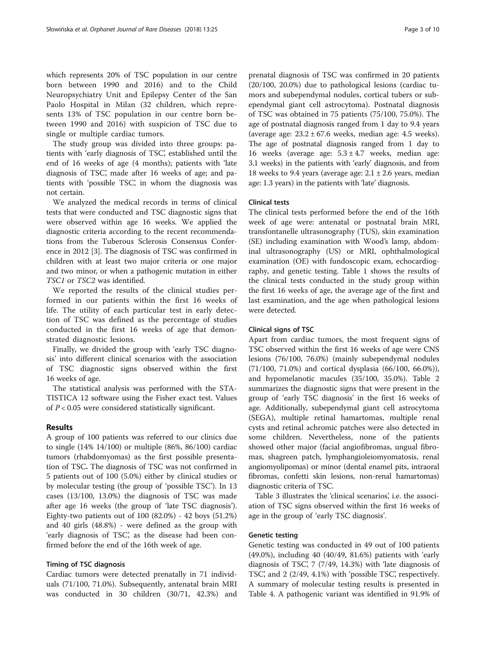which represents 20% of TSC population in our centre born between 1990 and 2016) and to the Child Neuropsychiatry Unit and Epilepsy Center of the San Paolo Hospital in Milan (32 children, which represents 13% of TSC population in our centre born between 1990 and 2016) with suspicion of TSC due to single or multiple cardiac tumors.

The study group was divided into three groups: patients with 'early diagnosis of TSC', established until the end of 16 weeks of age (4 months); patients with 'late diagnosis of TSC', made after 16 weeks of age; and patients with 'possible TSC', in whom the diagnosis was not certain.

We analyzed the medical records in terms of clinical tests that were conducted and TSC diagnostic signs that were observed within age 16 weeks. We applied the diagnostic criteria according to the recent recommendations from the Tuberous Sclerosis Consensus Conference in 2012 [[3\]](#page-8-0). The diagnosis of TSC was confirmed in children with at least two major criteria or one major and two minor, or when a pathogenic mutation in either TSC1 or TSC2 was identified.

We reported the results of the clinical studies performed in our patients within the first 16 weeks of life. The utility of each particular test in early detection of TSC was defined as the percentage of studies conducted in the first 16 weeks of age that demonstrated diagnostic lesions.

Finally, we divided the group with 'early TSC diagnosis' into different clinical scenarios with the association of TSC diagnostic signs observed within the first 16 weeks of age.

The statistical analysis was performed with the STA-TISTICA 12 software using the Fisher exact test. Values of  $P < 0.05$  were considered statistically significant.

#### Results

A group of 100 patients was referred to our clinics due to single (14% 14/100) or multiple (86%, 86/100) cardiac tumors (rhabdomyomas) as the first possible presentation of TSC. The diagnosis of TSC was not confirmed in 5 patients out of 100 (5.0%) either by clinical studies or by molecular testing (the group of 'possible TSC'). In 13 cases (13/100, 13.0%) the diagnosis of TSC was made after age 16 weeks (the group of 'late TSC diagnosis'). Eighty-two patients out of 100 (82.0%) - 42 boys (51.2%) and 40 girls (48.8%) - were defined as the group with 'early diagnosis of TSC', as the disease had been confirmed before the end of the 16th week of age.

## Timing of TSC diagnosis

Cardiac tumors were detected prenatally in 71 individuals (71/100, 71.0%). Subsequently, antenatal brain MRI was conducted in 30 children (30/71, 42.3%) and

prenatal diagnosis of TSC was confirmed in 20 patients (20/100, 20.0%) due to pathological lesions (cardiac tumors and subependymal nodules, cortical tubers or subependymal giant cell astrocytoma). Postnatal diagnosis of TSC was obtained in 75 patients (75/100, 75.0%). The age of postnatal diagnosis ranged from 1 day to 9.4 years (average age:  $23.2 \pm 67.6$  weeks, median age: 4.5 weeks). The age of postnatal diagnosis ranged from 1 day to 16 weeks (average age:  $5.3 \pm 4.7$  weeks, median age: 3.1 weeks) in the patients with 'early' diagnosis, and from 18 weeks to 9.4 years (average age:  $2.1 \pm 2.6$  years, median age: 1.3 years) in the patients with 'late' diagnosis.

#### Clinical tests

The clinical tests performed before the end of the 16th week of age were: antenatal or postnatal brain MRI, transfontanelle ultrasonography (TUS), skin examination (SE) including examination with Wood's lamp, abdominal ultrasonography (US) or MRI, ophthalmological examination (OE) with fundoscopic exam, echocardiography, and genetic testing. Table [1](#page-3-0) shows the results of the clinical tests conducted in the study group within the first 16 weeks of age, the average age of the first and last examination, and the age when pathological lesions were detected.

# Clinical signs of TSC

Apart from cardiac tumors, the most frequent signs of TSC observed within the first 16 weeks of age were CNS lesions (76/100, 76.0%) (mainly subependymal nodules (71/100, 71.0%) and cortical dysplasia (66/100, 66.0%)), and hypomelanotic macules (35/100, 35.0%). Table [2](#page-4-0) summarizes the diagnostic signs that were present in the group of 'early TSC diagnosis' in the first 16 weeks of age. Additionally, subependymal giant cell astrocytoma (SEGA), multiple retinal hamartomas, multiple renal cysts and retinal achromic patches were also detected in some children. Nevertheless, none of the patients showed other major (facial angiofibromas, ungual fibromas, shagreen patch, lymphangioleiomyomatosis, renal angiomyolipomas) or minor (dental enamel pits, intraoral fibromas, confetti skin lesions, non-renal hamartomas) diagnostic criteria of TSC.

Table [3](#page-4-0) illustrates the 'clinical scenarios', i.e. the association of TSC signs observed within the first 16 weeks of age in the group of 'early TSC diagnosis'.

# Genetic testing

Genetic testing was conducted in 49 out of 100 patients (49.0%), including 40 (40/49, 81.6%) patients with 'early diagnosis of TSC', 7 (7/49, 14.3%) with 'late diagnosis of TSC', and 2 (2/49, 4.1%) with 'possible TSC', respectively. A summary of molecular testing results is presented in Table [4](#page-5-0). A pathogenic variant was identified in 91.9% of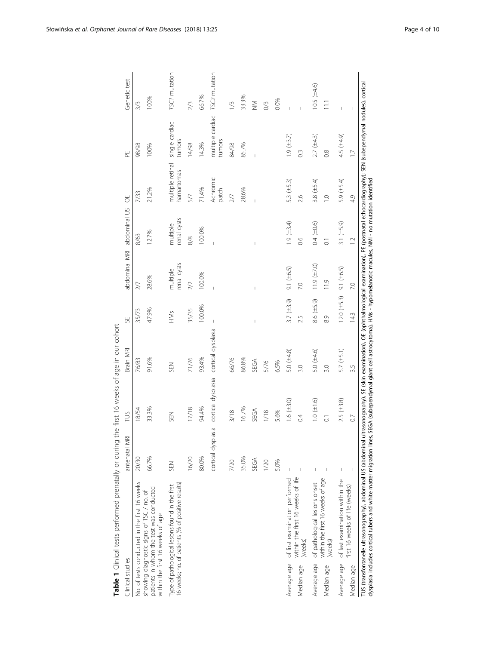<span id="page-3-0"></span>

| Clinical studies |                                                                                                                                                                                                                                                                                                                                                                                               | antenatal MRI          | TUS                | Brain MRI          | 5Ě               | abdominal MRI           | abdominal US            | ŏ                              | E                          | Genetic test             |
|------------------|-----------------------------------------------------------------------------------------------------------------------------------------------------------------------------------------------------------------------------------------------------------------------------------------------------------------------------------------------------------------------------------------------|------------------------|--------------------|--------------------|------------------|-------------------------|-------------------------|--------------------------------|----------------------------|--------------------------|
|                  | No. of tests conducted in the first 16 weeks                                                                                                                                                                                                                                                                                                                                                  | 20/30                  | 18/54              | 76/83              | 35/73            | 277                     | 8/63                    | 7/33                           | 98/98                      | $\frac{3}{3}$            |
|                  | patients in whom the test was conducted<br>showing diagnostic signs of TSC / no. of<br>within the first 16 weeks of age                                                                                                                                                                                                                                                                       | 66.7%                  | 33.3%              | 91.6%              | 47.9%            | 28.6%                   | 12.7%                   | 21.2%                          | 100%                       | 100%                     |
|                  | 16 weeks; no. of patients (% of positive results)<br>Type of pathological lesions found in the first                                                                                                                                                                                                                                                                                          | SEN                    | SEN                | SEN                | HMs              | renal cysts<br>multiple | renal cysts<br>multiple | multiple retinal<br>hamartomas | single cardiac<br>tumors   | TSC1 mutation            |
|                  |                                                                                                                                                                                                                                                                                                                                                                                               | 16/20                  | 17/18              | 71/76              | 35/35            | 2/2                     | 8/8                     | 5/7                            | 14/98                      | 2/3                      |
|                  |                                                                                                                                                                                                                                                                                                                                                                                               | 80.0%                  | 94.4%              | 93.4%              | 100.0%           | 100.0%                  | 100.0%                  | 71.4%                          | 14.3%                      | 66.7%                    |
|                  |                                                                                                                                                                                                                                                                                                                                                                                               | sisal<br>cortical dysp | cortical dysplasia | cortical dysplasia |                  |                         |                         | Achromic<br>patch              | multiple cardiac<br>tumors | TSC2 mutation            |
|                  |                                                                                                                                                                                                                                                                                                                                                                                               | 7/20                   | 3/18               | 66/76              |                  |                         |                         | 277                            | 84/98                      | $\frac{1}{3}$            |
|                  |                                                                                                                                                                                                                                                                                                                                                                                               | 35.0%                  | 16.7%              | 86.8%              |                  |                         |                         | 28.6%                          | 85.7%                      | 33.3%                    |
|                  |                                                                                                                                                                                                                                                                                                                                                                                               | SEGA                   | SEGA               | SEGA               | Ï                | $\mathbf{I}$            |                         |                                |                            | NN<br>NN                 |
|                  |                                                                                                                                                                                                                                                                                                                                                                                               | 1/20                   | 1/18               | 5/76               |                  |                         |                         |                                |                            | O <sup>2</sup>           |
|                  |                                                                                                                                                                                                                                                                                                                                                                                               | 5.0%                   | 5.6%               | 6.5%               |                  |                         |                         |                                |                            | 0.0%                     |
| Average age      | of first examination performed                                                                                                                                                                                                                                                                                                                                                                |                        | $1.6 (\pm 3.0)$    | 5.0 $(\pm 4.8)$    | $3.7 (\pm 3.9)$  | $9.1 (\pm 6.5)$         | $1.9 (\pm 3.4)$         | 5.3 (±5.3)                     | $1.9 (\pm 3.7)$            |                          |
| Median age       | within the first 16 weeks of life<br>(weeks)                                                                                                                                                                                                                                                                                                                                                  |                        | $\overline{0}$     | 3.0                | 2.5              | 7.0                     | 0.6                     | 2.6                            | $0.\overline{3}$           |                          |
| Average age      | of pathological lesions onset                                                                                                                                                                                                                                                                                                                                                                 |                        | 0.0 (11.6)         | $5.0 (\pm 4.6)$    | 8.6 (±5.9)       | $11.9 (\pm 7.0)$        | 0.4 (±0.6)              | 3.8 $(\pm 5.4)$                | $2.7(\pm 4.3)$             | $10.5 (\pm 4.6)$         |
| Median age       | within the first 16 weeks of age<br>(weeks)                                                                                                                                                                                                                                                                                                                                                   |                        | $\overline{C}$     | 3.0                | 8.9              | 11.9                    | $\overline{c}$          | $\supseteq$                    | 0.8                        | $\Xi$                    |
| Average age      | of last examination within the                                                                                                                                                                                                                                                                                                                                                                |                        | $2.5 (\pm 3.8)$    | $5.7 (\pm 5.1)$    | $12.0 (\pm 5.3)$ | $9.1 (\pm 6.5)$         | $3.1 (\pm 5.9)$         | 5.9 (±5.4)                     | 4.5 (±4.9)                 |                          |
| Median age       | first 16 weeks of life (weeks)                                                                                                                                                                                                                                                                                                                                                                |                        | 0.7                | 3.5                | 14.3             | 7.0                     | $\overline{1}$          | 49                             | $\overline{1}$             | $\overline{\phantom{a}}$ |
|                  | TUS (transfontanelle ultrasonography), abdominal US (abdominal ultrasonography), SE (kin examination), DE (ophthalmological examination), PE (postnatal echocardiography); SEN (subependymal nodules), cortical<br>dysplasia includes cortical tubers and white matter migration lines, SEGA (subependymal giant cell astrocytoma), HMs - hypomelanotic macules, NMI - no mutation identified |                        |                    |                    |                  |                         |                         |                                |                            |                          |

Table 1 Clinical tests performed prenatally or during the first 16 weeks of age in our cohort Table 1 Clinical tests performed prenatally or during the first 16 weeks of age in our cohort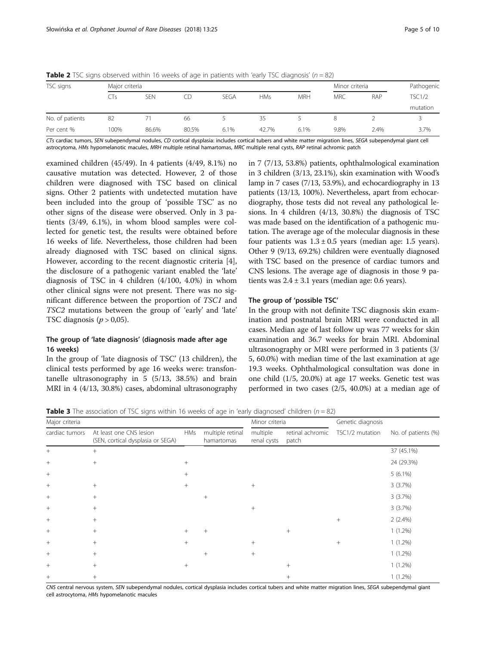| TSC signs       | Major criteria |       |       |             |            |            | Minor criteria |            | Pathogenic    |
|-----------------|----------------|-------|-------|-------------|------------|------------|----------------|------------|---------------|
|                 | CTs            | sen   |       | <b>SEGA</b> | <b>HMs</b> | <b>MRH</b> | <b>MRC</b>     | <b>RAP</b> | <b>TSC1/2</b> |
|                 |                |       |       |             |            |            |                |            | mutation      |
| No. of patients | 82             |       | 66    |             | 35         |            |                |            |               |
| Per cent %      | 100%           | 86.6% | 80.5% | 6.1%        | 42.7%      | 6.1%       | 9.8%           | 2.4%       | 3.7%          |

<span id="page-4-0"></span>**Table 2** TSC signs observed within 16 weeks of age in patients with 'early TSC diagnosis' ( $n = 82$ )

CTs cardiac tumors, SEN subependymal nodules, CD cortical dysplasia: includes cortical tubers and white matter migration lines, SEGA subependymal giant cell astrocytoma, HMs hypomelanotic macules, MRH multiple retinal hamartomas, MRC multiple renal cysts, RAP retinal achromic patch

examined children (45/49). In 4 patients (4/49, 8.1%) no causative mutation was detected. However, 2 of those children were diagnosed with TSC based on clinical signs. Other 2 patients with undetected mutation have been included into the group of 'possible TSC' as no other signs of the disease were observed. Only in 3 patients (3/49, 6.1%), in whom blood samples were collected for genetic test, the results were obtained before 16 weeks of life. Nevertheless, those children had been already diagnosed with TSC based on clinical signs. However, according to the recent diagnostic criteria [\[4](#page-8-0)], the disclosure of a pathogenic variant enabled the 'late' diagnosis of TSC in 4 children (4/100, 4.0%) in whom other clinical signs were not present. There was no significant difference between the proportion of TSC1 and TSC2 mutations between the group of 'early' and 'late' TSC diagnosis ( $p > 0.05$ ).

# The group of 'late diagnosis' (diagnosis made after age 16 weeks)

In the group of 'late diagnosis of TSC' (13 children), the clinical tests performed by age 16 weeks were: transfontanelle ultrasonography in 5 (5/13, 38.5%) and brain MRI in 4 (4/13, 30.8%) cases, abdominal ultrasonography

in 7 (7/13, 53.8%) patients, ophthalmological examination in 3 children (3/13, 23.1%), skin examination with Wood's lamp in 7 cases (7/13, 53.9%), and echocardiography in 13 patients (13/13, 100%). Nevertheless, apart from echocardiography, those tests did not reveal any pathological lesions. In 4 children (4/13, 30.8%) the diagnosis of TSC was made based on the identification of a pathogenic mutation. The average age of the molecular diagnosis in these four patients was  $1.3 \pm 0.5$  years (median age: 1.5 years). Other 9 (9/13, 69.2%) children were eventually diagnosed with TSC based on the presence of cardiac tumors and CNS lesions. The average age of diagnosis in those 9 patients was  $2.4 \pm 3.1$  years (median age: 0.6 years).

# The group of 'possible TSC'

In the group with not definite TSC diagnosis skin examination and postnatal brain MRI were conducted in all cases. Median age of last follow up was 77 weeks for skin examination and 36.7 weeks for brain MRI. Abdominal ultrasonography or MRI were performed in 3 patients (3/ 5, 60.0%) with median time of the last examination at age 19.3 weeks. Ophthalmological consultation was done in one child (1/5, 20.0%) at age 17 weeks. Genetic test was performed in two cases (2/5, 40.0%) at a median age of

**Table 3** The association of TSC signs within 16 weeks of age in 'early diagnosed' children ( $n = 82$ )

| Major criteria |                                                              |            |                                | Minor criteria          |                           | Genetic diagnosis |                     |
|----------------|--------------------------------------------------------------|------------|--------------------------------|-------------------------|---------------------------|-------------------|---------------------|
| cardiac tumors | At least one CNS lesion<br>(SEN, cortical dysplasia or SEGA) | <b>HMs</b> | multiple retinal<br>hamartomas | multiple<br>renal cysts | retinal achromic<br>patch | TSC1/2 mutation   | No. of patients (%) |
| $^{+}$         | $^{+}$                                                       |            |                                |                         |                           |                   | 37 (45.1%)          |
|                | $^{+}$                                                       | $^{+}$     |                                |                         |                           |                   | 24 (29.3%)          |
| $^{+}$         |                                                              | $^{+}$     |                                |                         |                           |                   | $5(6.1\%)$          |
| $^{+}$         | $^{+}$                                                       | $+$        |                                | $+$                     |                           |                   | 3(3.7%)             |
|                | $^{+}$                                                       |            | $\! + \!\!\!\!$                |                         |                           |                   | 3(3.7%)             |
|                | $^{+}$                                                       |            |                                | $+$                     |                           |                   | 3(3.7%)             |
|                | $^{+}$                                                       |            |                                |                         |                           | $^+$              | 2(2.4%)             |
|                | $^{+}$                                                       | $+$        | $^{+}$                         |                         | $^{+}$                    |                   | $1(1.2\%)$          |
|                | $^{+}$                                                       | $+$        |                                | $+$                     |                           | $^{+}$            | $1(1.2\%)$          |
|                | $^{+}$                                                       |            | $\! + \!\!\!\!$                | $\! + \!\!\!\!$         |                           |                   | $1(1.2\%)$          |
| $+$            | $^{+}$                                                       | $+$        |                                |                         | $+$                       |                   | $1(1.2\%)$          |
| $^{+}$         | $^+$                                                         |            |                                |                         | $^+$                      |                   | $1(1.2\%)$          |

CNS central nervous system, SEN subependymal nodules, cortical dysplasia includes cortical tubers and white matter migration lines, SEGA subependymal giant cell astrocytoma, HMs hypomelanotic macules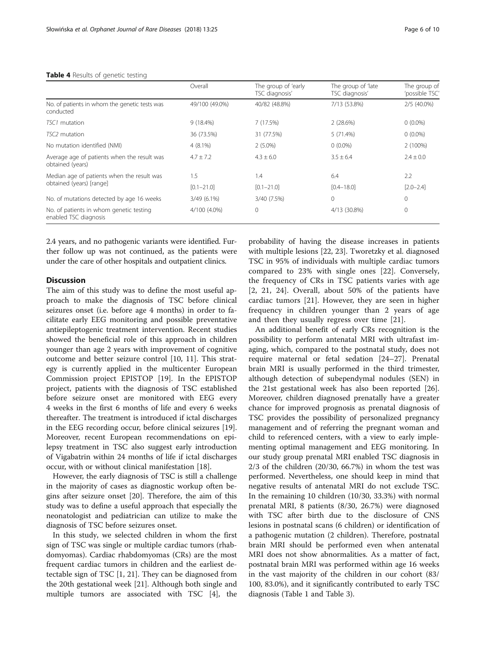<span id="page-5-0"></span>

|                                                                  | Overall        | The group of 'early<br>TSC diagnosis' | The group of 'late<br>TSC diagnosis' | The group of<br>'possible TSC' |
|------------------------------------------------------------------|----------------|---------------------------------------|--------------------------------------|--------------------------------|
| No. of patients in whom the genetic tests was<br>conducted       | 49/100 (49.0%) | 40/82 (48.8%)                         | 7/13 (53.8%)                         | $2/5(40.0\%)$                  |
| TSC1 mutation                                                    | $9(18.4\%)$    | 7(17.5%)                              | 2(28.6%)                             | $0(0.0\%)$                     |
| TSC2 mutation                                                    | 36 (73.5%)     | 31 (77.5%)                            | $5(71.4\%)$                          | $0(0.0\%)$                     |
| No mutation identified (NMI)                                     | $4(8.1\%)$     | $2(5.0\%)$                            | $0(0.0\%)$                           | 2 (100%)                       |
| Average age of patients when the result was<br>obtained (years)  | $4.7 + 7.2$    | $4.3 \pm 6.0$                         | $3.5 \pm 6.4$                        | $2.4 \pm 0.0$                  |
| Median age of patients when the result was                       | 1.5            | 1.4                                   | 6.4                                  | 2.2                            |
| obtained (years) [range]                                         | $[0.1 - 21.0]$ | $[0.1 - 21.0]$                        | $[0.4 - 18.0]$                       | $[2.0 - 2.4]$                  |
| No. of mutations detected by age 16 weeks                        | $3/49(6.1\%)$  | 3/40 (7.5%)                           | $\mathbf{0}$                         | $\mathbf{0}$                   |
| No. of patients in whom genetic testing<br>enabled TSC diagnosis | 4/100 (4.0%)   | 0                                     | 4/13 (30.8%)                         | $\mathbf{0}$                   |

2.4 years, and no pathogenic variants were identified. Further follow up was not continued, as the patients were under the care of other hospitals and outpatient clinics.

# **Discussion**

The aim of this study was to define the most useful approach to make the diagnosis of TSC before clinical seizures onset (i.e. before age 4 months) in order to facilitate early EEG monitoring and possible preventative antiepileptogenic treatment intervention. Recent studies showed the beneficial role of this approach in children younger than age 2 years with improvement of cognitive outcome and better seizure control [\[10,](#page-8-0) [11\]](#page-9-0). This strategy is currently applied in the multicenter European Commission project EPISTOP [[19\]](#page-9-0). In the EPISTOP project, patients with the diagnosis of TSC established before seizure onset are monitored with EEG every 4 weeks in the first 6 months of life and every 6 weeks thereafter. The treatment is introduced if ictal discharges in the EEG recording occur, before clinical seizures [\[19](#page-9-0)]. Moreover, recent European recommendations on epilepsy treatment in TSC also suggest early introduction of Vigabatrin within 24 months of life if ictal discharges occur, with or without clinical manifestation [\[18](#page-9-0)].

However, the early diagnosis of TSC is still a challenge in the majority of cases as diagnostic workup often begins after seizure onset [[20](#page-9-0)]. Therefore, the aim of this study was to define a useful approach that especially the neonatologist and pediatrician can utilize to make the diagnosis of TSC before seizures onset.

In this study, we selected children in whom the first sign of TSC was single or multiple cardiac tumors (rhabdomyomas). Cardiac rhabdomyomas (CRs) are the most frequent cardiac tumors in children and the earliest detectable sign of TSC [[1,](#page-8-0) [21\]](#page-9-0). They can be diagnosed from the 20th gestational week [[21](#page-9-0)]. Although both single and multiple tumors are associated with TSC [[4](#page-8-0)], the

probability of having the disease increases in patients with multiple lesions [\[22, 23\]](#page-9-0). Tworetzky et al. diagnosed TSC in 95% of individuals with multiple cardiac tumors compared to 23% with single ones [[22\]](#page-9-0). Conversely, the frequency of CRs in TSC patients varies with age [[2,](#page-8-0) [21, 24](#page-9-0)]. Overall, about 50% of the patients have cardiac tumors [[21\]](#page-9-0). However, they are seen in higher frequency in children younger than 2 years of age and then they usually regress over time [[21\]](#page-9-0).

An additional benefit of early CRs recognition is the possibility to perform antenatal MRI with ultrafast imaging, which, compared to the postnatal study, does not require maternal or fetal sedation [\[24](#page-9-0)–[27\]](#page-9-0). Prenatal brain MRI is usually performed in the third trimester, although detection of subependymal nodules (SEN) in the 21st gestational week has also been reported [\[26](#page-9-0)]. Moreover, children diagnosed prenatally have a greater chance for improved prognosis as prenatal diagnosis of TSC provides the possibility of personalized pregnancy management and of referring the pregnant woman and child to referenced centers, with a view to early implementing optimal management and EEG monitoring. In our study group prenatal MRI enabled TSC diagnosis in  $2/3$  of the children (20/30, 66.7%) in whom the test was performed. Nevertheless, one should keep in mind that negative results of antenatal MRI do not exclude TSC. In the remaining 10 children (10/30, 33.3%) with normal prenatal MRI, 8 patients (8/30, 26.7%) were diagnosed with TSC after birth due to the disclosure of CNS lesions in postnatal scans (6 children) or identification of a pathogenic mutation (2 children). Therefore, postnatal brain MRI should be performed even when antenatal MRI does not show abnormalities. As a matter of fact, postnatal brain MRI was performed within age 16 weeks in the vast majority of the children in our cohort (83/ 100, 83.0%), and it significantly contributed to early TSC diagnosis (Table [1](#page-3-0) and Table [3](#page-4-0)).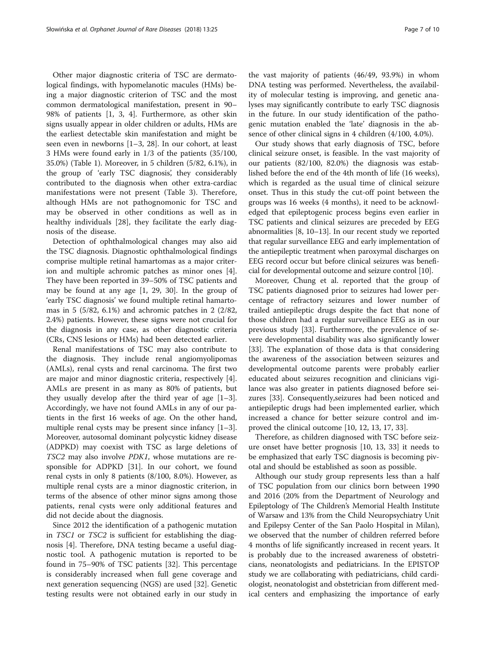Other major diagnostic criteria of TSC are dermatological findings, with hypomelanotic macules (HMs) being a major diagnostic criterion of TSC and the most common dermatological manifestation, present in 90– 98% of patients [[1, 3](#page-8-0), [4\]](#page-8-0). Furthermore, as other skin signs usually appear in older children or adults, HMs are the earliest detectable skin manifestation and might be seen even in newborns [[1](#page-8-0)–[3](#page-8-0), [28\]](#page-9-0). In our cohort, at least 3 HMs were found early in 1/3 of the patients (35/100, 35.0%) (Table [1](#page-3-0)). Moreover, in 5 children (5/82, 6.1%), in the group of 'early TSC diagnosis', they considerably contributed to the diagnosis when other extra-cardiac manifestations were not present (Table [3\)](#page-4-0). Therefore, although HMs are not pathognomonic for TSC and may be observed in other conditions as well as in healthy individuals [[28\]](#page-9-0), they facilitate the early diagnosis of the disease.

Detection of ophthalmological changes may also aid the TSC diagnosis. Diagnostic ophthalmological findings comprise multiple retinal hamartomas as a major criterion and multiple achromic patches as minor ones [\[4](#page-8-0)]. They have been reported in 39–50% of TSC patients and may be found at any age [\[1](#page-8-0), [29, 30\]](#page-9-0). In the group of 'early TSC diagnosis' we found multiple retinal hamartomas in 5 (5/82, 6.1%) and achromic patches in 2 (2/82, 2.4%) patients. However, these signs were not crucial for the diagnosis in any case, as other diagnostic criteria (CRs, CNS lesions or HMs) had been detected earlier.

Renal manifestations of TSC may also contribute to the diagnosis. They include renal angiomyolipomas (AMLs), renal cysts and renal carcinoma. The first two are major and minor diagnostic criteria, respectively [\[4](#page-8-0)]. AMLs are present in as many as 80% of patients, but they usually develop after the third year of age  $[1-3]$  $[1-3]$  $[1-3]$  $[1-3]$ . Accordingly, we have not found AMLs in any of our patients in the first 16 weeks of age. On the other hand, multiple renal cysts may be present since infancy [\[1](#page-8-0)–[3](#page-8-0)]. Moreover, autosomal dominant polycystic kidney disease (ADPKD) may coexist with TSC as large deletions of TSC2 may also involve PDK1, whose mutations are responsible for ADPKD [[31\]](#page-9-0). In our cohort, we found renal cysts in only 8 patients (8/100, 8.0%). However, as multiple renal cysts are a minor diagnostic criterion, in terms of the absence of other minor signs among those patients, renal cysts were only additional features and did not decide about the diagnosis.

Since 2012 the identification of a pathogenic mutation in TSC1 or TSC2 is sufficient for establishing the diagnosis [\[4\]](#page-8-0). Therefore, DNA testing became a useful diagnostic tool. A pathogenic mutation is reported to be found in 75–90% of TSC patients [[32](#page-9-0)]. This percentage is considerably increased when full gene coverage and next generation sequencing (NGS) are used [[32\]](#page-9-0). Genetic testing results were not obtained early in our study in

the vast majority of patients (46/49, 93.9%) in whom DNA testing was performed. Nevertheless, the availability of molecular testing is improving, and genetic analyses may significantly contribute to early TSC diagnosis in the future. In our study identification of the pathogenic mutation enabled the 'late' diagnosis in the absence of other clinical signs in 4 children (4/100, 4.0%).

Our study shows that early diagnosis of TSC, before clinical seizure onset, is feasible. In the vast majority of our patients (82/100, 82.0%) the diagnosis was established before the end of the 4th month of life (16 weeks), which is regarded as the usual time of clinical seizure onset. Thus in this study the cut-off point between the groups was 16 weeks (4 months), it need to be acknowledged that epileptogenic process begins even earlier in TSC patients and clinical seizures are preceded by EEG abnormalities [\[8](#page-8-0), [10](#page-8-0)–[13](#page-9-0)]. In our recent study we reported that regular surveillance EEG and early implementation of the antiepileptic treatment when paroxymal discharges on EEG record occur but before clinical seizures was beneficial for developmental outcome and seizure control [\[10\]](#page-8-0).

Moreover, Chung et al. reported that the group of TSC patients diagnosed prior to seizures had lower percentage of refractory seizures and lower number of trailed antiepileptic drugs despite the fact that none of those children had a regular surveillance EEG as in our previous study [[33](#page-9-0)]. Furthermore, the prevalence of severe developmental disability was also significantly lower [[33\]](#page-9-0). The explanation of those data is that considering the awareness of the association between seizures and developmental outcome parents were probably earlier educated about seizures recognition and clinicians vigilance was also greater in patients diagnosed before seizures [\[33](#page-9-0)]. Consequently,seizures had been noticed and antiepileptic drugs had been implemented earlier, which increased a chance for better seizure control and improved the clinical outcome [\[10](#page-8-0), [12](#page-9-0), [13, 17, 33\]](#page-9-0).

Therefore, as children diagnosed with TSC before seizure onset have better prognosis [[10,](#page-8-0) [13](#page-9-0), [33](#page-9-0)] it needs to be emphasized that early TSC diagnosis is becoming pivotal and should be established as soon as possible.

Although our study group represents less than a half of TSC population from our clinics born between 1990 and 2016 (20% from the Department of Neurology and Epileptology of The Children's Memorial Health Institute of Warsaw and 13% from the Child Neuropsychiatry Unit and Epilepsy Center of the San Paolo Hospital in Milan), we observed that the number of children referred before 4 months of life significantly increased in recent years. It is probably due to the increased awareness of obstetricians, neonatologists and pediatricians. In the EPISTOP study we are collaborating with pediatricians, child cardiologist, neonatologist and obstetrician from different medical centers and emphasizing the importance of early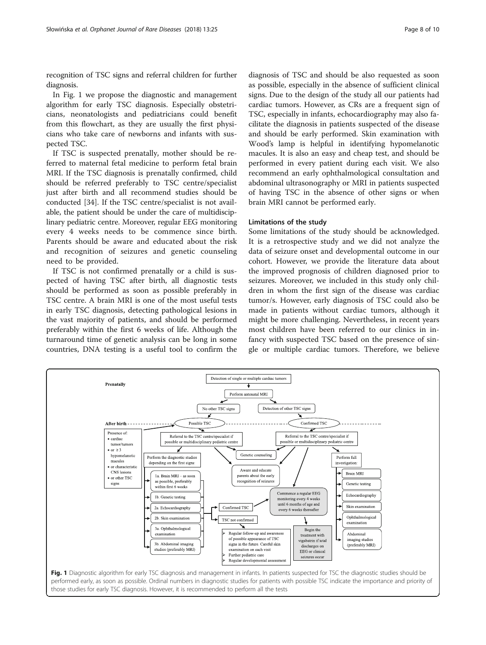recognition of TSC signs and referral children for further diagnosis.

In Fig. 1 we propose the diagnostic and management algorithm for early TSC diagnosis. Especially obstetricians, neonatologists and pediatricians could benefit from this flowchart, as they are usually the first physicians who take care of newborns and infants with suspected TSC.

If TSC is suspected prenatally, mother should be referred to maternal fetal medicine to perform fetal brain MRI. If the TSC diagnosis is prenatally confirmed, child should be referred preferably to TSC centre/specialist just after birth and all recommend studies should be conducted [\[34\]](#page-9-0). If the TSC centre/specialist is not available, the patient should be under the care of multidisciplinary pediatric centre. Moreover, regular EEG monitoring every 4 weeks needs to be commence since birth. Parents should be aware and educated about the risk and recognition of seizures and genetic counseling need to be provided.

If TSC is not confirmed prenatally or a child is suspected of having TSC after birth, all diagnostic tests should be performed as soon as possible preferably in TSC centre. A brain MRI is one of the most useful tests in early TSC diagnosis, detecting pathological lesions in the vast majority of patients, and should be performed preferably within the first 6 weeks of life. Although the turnaround time of genetic analysis can be long in some countries, DNA testing is a useful tool to confirm the

diagnosis of TSC and should be also requested as soon as possible, especially in the absence of sufficient clinical signs. Due to the design of the study all our patients had cardiac tumors. However, as CRs are a frequent sign of TSC, especially in infants, echocardiography may also facilitate the diagnosis in patients suspected of the disease and should be early performed. Skin examination with Wood's lamp is helpful in identifying hypomelanotic macules. It is also an easy and cheap test, and should be performed in every patient during each visit. We also recommend an early ophthalmological consultation and abdominal ultrasonography or MRI in patients suspected of having TSC in the absence of other signs or when brain MRI cannot be performed early.

# Limitations of the study

Some limitations of the study should be acknowledged. It is a retrospective study and we did not analyze the data of seizure onset and developmental outcome in our cohort. However, we provide the literature data about the improved prognosis of children diagnosed prior to seizures. Moreover, we included in this study only children in whom the first sign of the disease was cardiac tumor/s. However, early diagnosis of TSC could also be made in patients without cardiac tumors, although it might be more challenging. Nevertheless, in recent years most children have been referred to our clinics in infancy with suspected TSC based on the presence of single or multiple cardiac tumors. Therefore, we believe

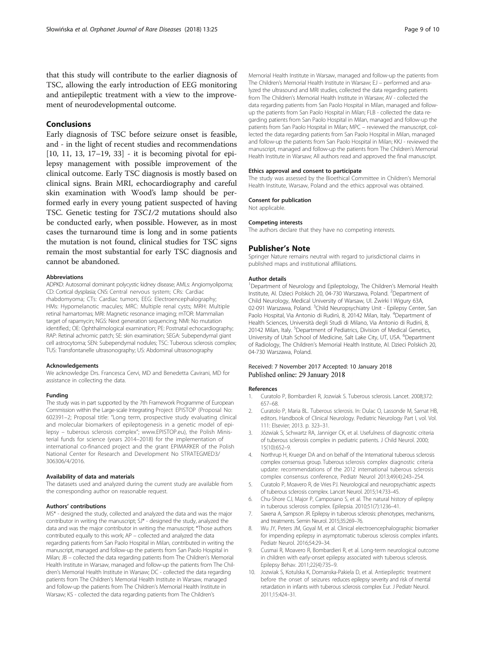<span id="page-8-0"></span>that this study will contribute to the earlier diagnosis of TSC, allowing the early introduction of EEG monitoring and antiepileptic treatment with a view to the improvement of neurodevelopmental outcome.

# Conclusions

Early diagnosis of TSC before seizure onset is feasible, and - in the light of recent studies and recommendations  $[10, 11, 13, 17–19, 33]$  $[10, 11, 13, 17–19, 33]$  $[10, 11, 13, 17–19, 33]$  $[10, 11, 13, 17–19, 33]$  $[10, 11, 13, 17–19, 33]$  $[10, 11, 13, 17–19, 33]$  $[10, 11, 13, 17–19, 33]$  - it is becoming pivotal for epilepsy management with possible improvement of the clinical outcome. Early TSC diagnosis is mostly based on clinical signs. Brain MRI, echocardiography and careful skin examination with Wood's lamp should be performed early in every young patient suspected of having TSC. Genetic testing for TSC1/2 mutations should also be conducted early, when possible. However, as in most cases the turnaround time is long and in some patients the mutation is not found, clinical studies for TSC signs remain the most substantial for early TSC diagnosis and cannot be abandoned.

#### Abbreviations

ADPKD: Autosomal dominant polycystic kidney disease; AMLs: Angiomyolipoma; CD: Cortical dysplasia; CNS: Central nervous system; CRs: Cardiac rhabdomyoma; CTs: Cardiac tumors; EEG: Electroencephalography; HMs: Hypomelanotic macules; MRC: Multiple renal cysts; MRH: Multiple retinal hamartomas; MRI: Magnetic resonance imaging; mTOR: Mammalian target of rapamycin; NGS: Next generation sequencing; NMI: No mutation identified.; OE: Ophthalmological examination; PE: Postnatal echocardiography; RAP: Retinal achromic patch; SE: skin examination; SEGA: Subependymal giant cell astrocytoma; SEN: Subependymal nodules; TSC: Tuberous sclerosis complex; TUS: Transfontanelle ultrasonography; US: Abdominal ultrasonography

#### Acknowledgements

We acknowledge Drs. Francesca Cervi, MD and Benedetta Cavirani, MD for assistance in collecting the data.

#### Funding

The study was in part supported by the 7th Framework Programme of European Commission within the Large-scale Integrating Project EPISTOP (Proposal No: 602391–2; Proposal title: "Long term, prospective study evaluating clinical and molecular biomarkers of epileptogenesis in a genetic model of epilepsy – tuberous sclerosis complex"; [www.EPISTOP.eu\)](http://www.epistop.eu), the Polish Ministerial funds for science (years 2014–2018) for the implementation of international co-financed project and the grant EPIMARKER of the Polish National Center for Research and Development No STRATEGMED3/ 306306/4/2016.

#### Availability of data and materials

The datasets used and analyzed during the current study are available from the corresponding author on reasonable request.

#### Authors' contributions

MS\* - designed the study, collected and analyzed the data and was the major contributor in writing the manuscript; SJ\* - designed the study, analyzed the data and was the major contributor in writing the manuscript; \*Those authors contributed equally to this work; AP – collected and analyzed the data regarding patients from San Paolo Hospital in Milan, contributed in writing the manuscript, managed and follow-up the patients from San Paolo Hospital in Milan; JB – collected the data regarding patients from The Children's Memorial Health Institute in Warsaw, managed and follow-up the patients from The Children's Memorial Health Institute in Warsaw; DC - collected the data regarding patients from The Children's Memorial Health Institute in Warsaw, managed and follow-up the patients from The Children's Memorial Health Institute in Warsaw; KS - collected the data regarding patients from The Children's

Memorial Health Institute in Warsaw, managed and follow-up the patients from The Children's Memorial Health Institute in Warsaw; EJ – performed and analyzed the ultrasound and MRI studies, collected the data regarding patients from The Children's Memorial Health Institute in Warsaw; AV - collected the data regarding patients from San Paolo Hospital in Milan, managed and followup the patients from San Paolo Hospital in Milan; FLB - collected the data regarding patients from San Paolo Hospital in Milan, managed and follow-up the patients from San Paolo Hospital in Milan; MPC – reviewed the manuscript, collected the data regarding patients from San Paolo Hospital in Milan, managed and follow-up the patients from San Paolo Hospital in Milan; KKJ - reviewed the manuscript, managed and follow-up the patients from The Children's Memorial Health Institute in Warsaw; All authors read and approved the final manuscript.

#### Ethics approval and consent to participate

The study was assessed by the Bioethical Committee in Children's Memorial Health Institute, Warsaw, Poland and the ethics approval was obtained.

#### Consent for publication

Not applicable.

#### Competing interests

The authors declare that they have no competing interests.

#### Publisher's Note

Springer Nature remains neutral with regard to jurisdictional claims in published maps and institutional affiliations.

#### Author details

<sup>1</sup>Department of Neurology and Epileptology, The Children's Memorial Health Institute, Al. Dzieci Polskich 20, 04-730 Warszawa, Poland. <sup>2</sup>Department of Child Neurology, Medical University of Warsaw, Ul. Żwirki I Wigury 63A, 02-091 Warszawa, Poland. <sup>3</sup>Child Neuropsychiatry Unit - Epilepsy Center, San Paolo Hospital, Via Antonio di Rudinì, 8, 20142 Milan, Italy. <sup>4</sup>Department of Health Sciences, Università degli Studi di Milano, Via Antonio di Rudinì, 8, 20142 Milan, Italy. <sup>5</sup>Department of Pediatrics, Division of Medical Genetics University of Utah School of Medicine, Salt Lake City, UT, USA. <sup>6</sup>Department of Radiology, The Children's Memorial Health Institute, Al. Dzieci Polskich 20, 04-730 Warszawa, Poland.

### Received: 7 November 2017 Accepted: 10 January 2018 Published online: 29 January 2018

#### References

- 1. Curatolo P, Bombardieri R, Jozwiak S. Tuberous sclerosis. Lancet. 2008;372: 657–68.
- 2. Curatolo P, Maria BL. Tuberous sclerosis. In: Dulac O, Lassonde M, Sarnat HB, editors. Handbook of Clinical Neurology. Pediatric Neurology Part I, vol. Vol. 111: Elsevier; 2013. p. 323–31.
- 3. Józwiak S, Schwartz RA, Janniger CK, et al. Usefulness of diagnostic criteria of tuberous sclerosis complex in pediatric patients. J Child Neurol. 2000; 15(10):652–9.
- 4. Northrup H, Krueger DA and on behalf of the International tuberous sclerosis complex consensus group. Tuberous sclerosis complex diagnostic criteria update: recommendations of the 2012 international tuberous sclerosis complex consensus conference, Pediatr Neurol 2013;49(4):243–254.
- 5. Curatolo P, Moavero R, de Vries PJ. Neurological and neuropsychiatric aspects of tuberous sclerosis complex. Lancet Neurol. 2015;14:733–45.
- 6. Chu-Shore CJ, Major P, Camposano S, et al. The natural history of epilepsy in tuberous sclerosis complex. Epilepsia. 2010;51(7):1236–41.
- 7. Saxena A, Sampson JR. Epilepsy in tuberous sclerosis: phenotypes, mechanisms, and treatments. Semin Neurol. 2015;35:269–76.
- Wu JY, Peters JM, Goyal M, et al. Clinical electroencephalographic biomarker for impending epilepsy in asymptomatic tuberous sclerosis complex infants. Pediatr Neurol. 2016;54:29–34.
- 9. Cusmai R, Moavero R, Bombardieri R, et al. Long-term neurological outcome in children with early-onset epilepsy associated with tuberous sclerosis. Epilepsy Behav. 2011;22(4):735–9.
- 10. Jozwiak S, Kotulska K, Domanska-Pakiela D, et al. Antiepileptic treatment before the onset of seizures reduces epilepsy severity and risk of mental retardation in infants with tuberous sclerosis complex Eur. J Pediatr Neurol. 2011;15:424–31.